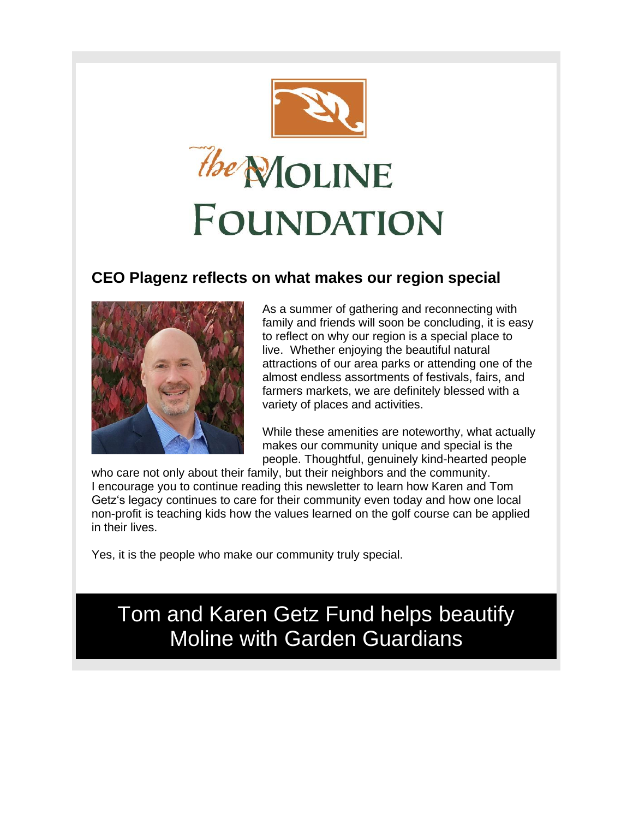

## **CEO Plagenz reflects on what makes our region special**



As a summer of gathering and reconnecting with family and friends will soon be concluding, it is easy to reflect on why our region is a special place to live. Whether enjoying the beautiful natural attractions of our area parks or attending one of the almost endless assortments of festivals, fairs, and farmers markets, we are definitely blessed with a variety of places and activities.

While these amenities are noteworthy, what actually makes our community unique and special is the people. Thoughtful, genuinely kind-hearted people

who care not only about their family, but their neighbors and the community. I encourage you to continue reading this newsletter to learn how Karen and Tom Getz's legacy continues to care for their community even today and how one local non-profit is teaching kids how the values learned on the golf course can be applied in their lives.

Yes, it is the people who make our community truly special.

# Tom and Karen Getz Fund helps beautify Moline with Garden Guardians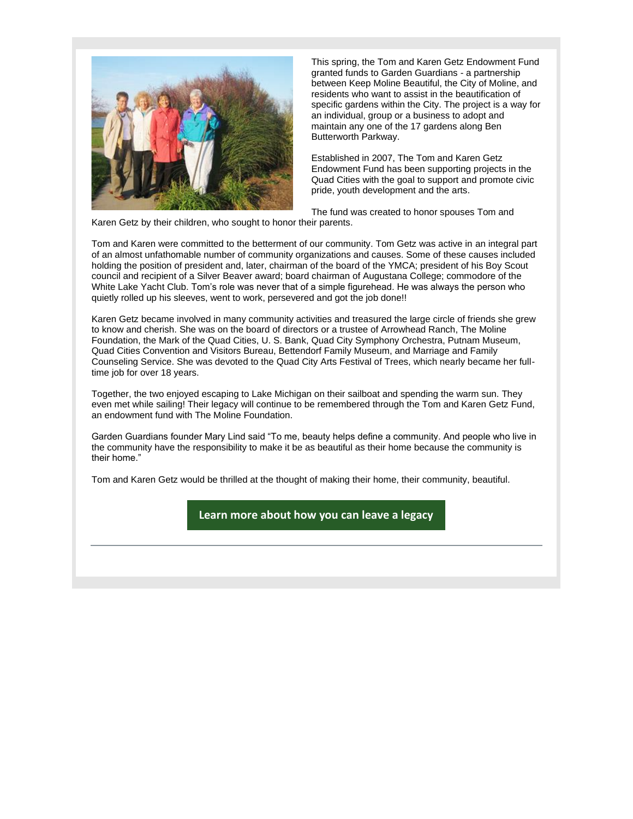

This spring, the Tom and Karen Getz Endowment Fund granted funds to Garden Guardians - a partnership between Keep Moline Beautiful, the City of Moline, and residents who want to assist in the beautification of specific gardens within the City. The project is a way for an individual, group or a business to adopt and maintain any one of the 17 gardens along Ben Butterworth Parkway.

Established in 2007, The Tom and Karen Getz Endowment Fund has been supporting projects in the Quad Cities with the goal to support and promote civic pride, youth development and the arts.

The fund was created to honor spouses Tom and Karen Getz by their children, who sought to honor their parents.

Tom and Karen were committed to the betterment of our community. Tom Getz was active in an integral part of an almost unfathomable number of community organizations and causes. Some of these causes included holding the position of president and, later, chairman of the board of the YMCA; president of his Boy Scout council and recipient of a Silver Beaver award; board chairman of Augustana College; commodore of the White Lake Yacht Club. Tom's role was never that of a simple figurehead. He was always the person who quietly rolled up his sleeves, went to work, persevered and got the job done!!

Karen Getz became involved in many community activities and treasured the large circle of friends she grew to know and cherish. She was on the board of directors or a trustee of Arrowhead Ranch, The Moline Foundation, the Mark of the Quad Cities, U. S. Bank, Quad City Symphony Orchestra, Putnam Museum, Quad Cities Convention and Visitors Bureau, Bettendorf Family Museum, and Marriage and Family Counseling Service. She was devoted to the Quad City Arts Festival of Trees, which nearly became her fulltime job for over 18 years.

Together, the two enjoyed escaping to Lake Michigan on their sailboat and spending the warm sun. They even met while sailing! Their legacy will continue to be remembered through the Tom and Karen Getz Fund, an endowment fund with The Moline Foundation.

Garden Guardians founder Mary Lind said "To me, beauty helps define a community. And people who live in the community have the responsibility to make it be as beautiful as their home because the community is their home."

Tom and Karen Getz would be thrilled at the thought of making their home, their community, beautiful.

**[Learn more about how you can leave a legacy](https://r20.rs6.net/tn.jsp?f=001bBZjhI2iSP9a8_wMoYQSgqpbX1wwbIItUsGN__1lfpZxFTVtWddDINjW13jtZqIQUxfNDYdFSzlbQ7nxt3q7S14V7eT1HraX4OF2w-Y998iv1gStG6f-aQLaT1SWDTajQveRvGkL4twJlXVDU0jCfVg6BNHyl0jJddPqaCJaWZ8=&c=mrqFkod0TahFfSgGopdvWEAoiql3DSuzJF-VRZGSk8A8STdLl0tagw==&ch=yVPHD7o5JpxUEItt1WkQ7DiG3c1jIMoQhfipfoo9THZy0thwaYlA8Q==)**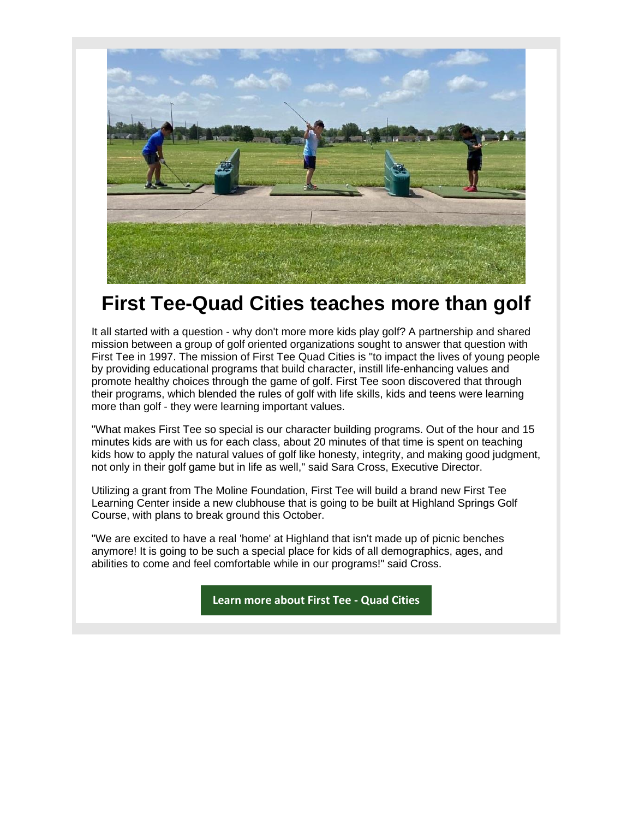

# **First Tee-Quad Cities teaches more than golf**

It all started with a question - why don't more more kids play golf? A partnership and shared mission between a group of golf oriented organizations sought to answer that question with First Tee in 1997. The mission of First Tee Quad Cities is "to impact the lives of young people by providing educational programs that build character, instill life-enhancing values and promote healthy choices through the game of golf. First Tee soon discovered that through their programs, which blended the rules of golf with life skills, kids and teens were learning more than golf - they were learning important values.

"What makes First Tee so special is our character building programs. Out of the hour and 15 minutes kids are with us for each class, about 20 minutes of that time is spent on teaching kids how to apply the natural values of golf like honesty, integrity, and making good judgment, not only in their golf game but in life as well," said Sara Cross, Executive Director.

Utilizing a grant from The Moline Foundation, First Tee will build a brand new First Tee Learning Center inside a new clubhouse that is going to be built at Highland Springs Golf Course, with plans to break ground this October.

"We are excited to have a real 'home' at Highland that isn't made up of picnic benches anymore! It is going to be such a special place for kids of all demographics, ages, and abilities to come and feel comfortable while in our programs!" said Cross.

**[Learn more about First Tee -](https://r20.rs6.net/tn.jsp?f=001bBZjhI2iSP9a8_wMoYQSgqpbX1wwbIItUsGN__1lfpZxFTVtWddDINjW13jtZqIQXD8OOJjWvLZO3mvyXtelhnr2R4JwhnSRYkuFe3QEmZO-xVzsLz3Z0Qf9vt9Vbi-Q6kVnksl0SGl8uMgyCeMq2Ba4xakvyibY&c=mrqFkod0TahFfSgGopdvWEAoiql3DSuzJF-VRZGSk8A8STdLl0tagw==&ch=yVPHD7o5JpxUEItt1WkQ7DiG3c1jIMoQhfipfoo9THZy0thwaYlA8Q==) Quad Cities**